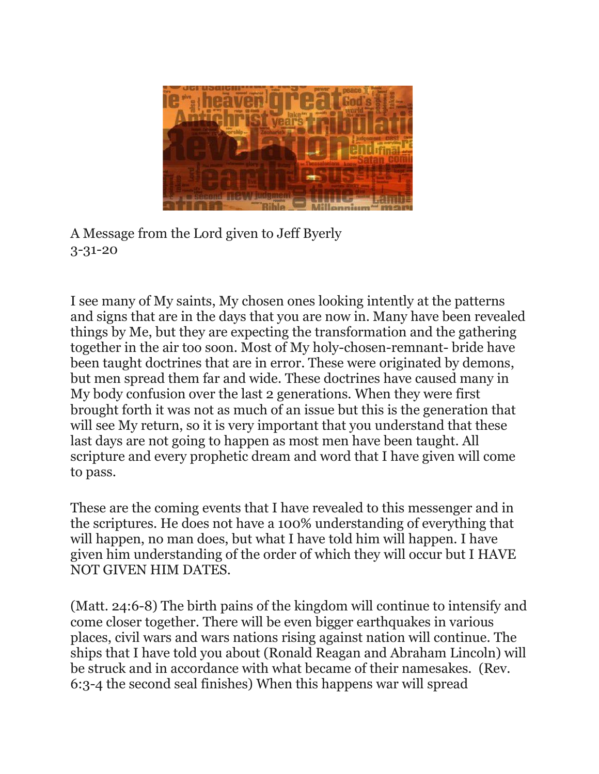

A Message from the Lord given to Jeff Byerly 3-31-20

I see many of My saints, My chosen ones looking intently at the patterns and signs that are in the days that you are now in. Many have been revealed things by Me, but they are expecting the transformation and the gathering together in the air too soon. Most of My holy-chosen-remnant- bride have been taught doctrines that are in error. These were originated by demons, but men spread them far and wide. These doctrines have caused many in My body confusion over the last 2 generations. When they were first brought forth it was not as much of an issue but this is the generation that will see My return, so it is very important that you understand that these last days are not going to happen as most men have been taught. All scripture and every prophetic dream and word that I have given will come to pass.

These are the coming events that I have revealed to this messenger and in the scriptures. He does not have a 100% understanding of everything that will happen, no man does, but what I have told him will happen. I have given him understanding of the order of which they will occur but I HAVE NOT GIVEN HIM DATES.

(Matt. 24:6-8) The birth pains of the kingdom will continue to intensify and come closer together. There will be even bigger earthquakes in various places, civil wars and wars nations rising against nation will continue. The ships that I have told you about (Ronald Reagan and Abraham Lincoln) will be struck and in accordance with what became of their namesakes. (Rev. 6:3-4 the second seal finishes) When this happens war will spread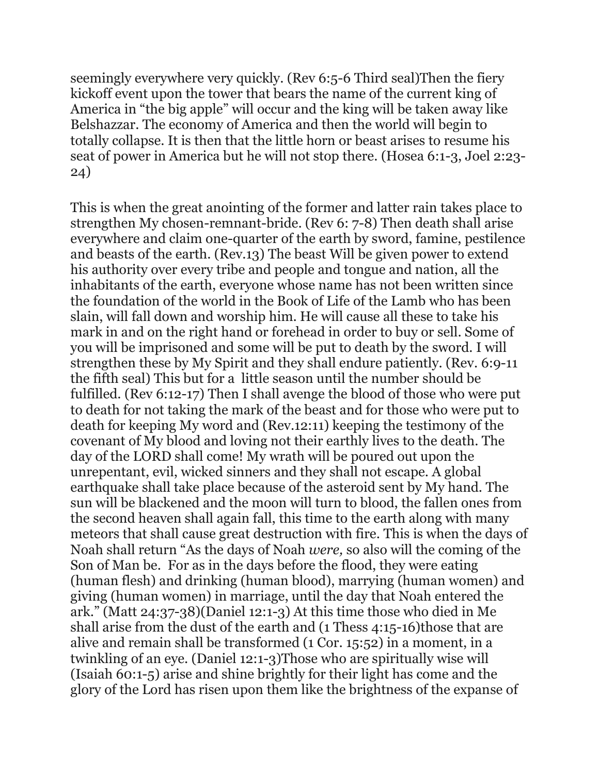seemingly everywhere very quickly. (Rev 6:5-6 Third seal)Then the fiery kickoff event upon the tower that bears the name of the current king of America in "the big apple" will occur and the king will be taken away like Belshazzar. The economy of America and then the world will begin to totally collapse. It is then that the little horn or beast arises to resume his seat of power in America but he will not stop there. (Hosea 6:1-3, Joel 2:23- 24)

This is when the great anointing of the former and latter rain takes place to strengthen My chosen-remnant-bride. (Rev 6: 7-8) Then death shall arise everywhere and claim one-quarter of the earth by sword, famine, pestilence and beasts of the earth. (Rev.13) The beast Will be given power to extend his authority over every tribe and people and tongue and nation, all the inhabitants of the earth, everyone whose name has not been written since the foundation of the world in the Book of Life of the Lamb who has been slain, will fall down and worship him. He will cause all these to take his mark in and on the right hand or forehead in order to buy or sell. Some of you will be imprisoned and some will be put to death by the sword. I will strengthen these by My Spirit and they shall endure patiently. (Rev. 6:9-11 the fifth seal) This but for a little season until the number should be fulfilled. (Rev 6:12-17) Then I shall avenge the blood of those who were put to death for not taking the mark of the beast and for those who were put to death for keeping My word and (Rev.12:11) keeping the testimony of the covenant of My blood and loving not their earthly lives to the death. The day of the LORD shall come! My wrath will be poured out upon the unrepentant, evil, wicked sinners and they shall not escape. A global earthquake shall take place because of the asteroid sent by My hand. The sun will be blackened and the moon will turn to blood, the fallen ones from the second heaven shall again fall, this time to the earth along with many meteors that shall cause great destruction with fire. This is when the days of Noah shall return "As the days of Noah *were,* so also will the coming of the Son of Man be. For as in the days before the flood, they were eating (human flesh) and drinking (human blood), marrying (human women) and giving (human women) in marriage, until the day that Noah entered the ark." (Matt 24:37-38)(Daniel 12:1-3) At this time those who died in Me shall arise from the dust of the earth and (1 Thess 4:15-16)those that are alive and remain shall be transformed (1 Cor. 15:52) in a moment, in a twinkling of an eye. (Daniel 12:1-3)Those who are spiritually wise will (Isaiah 60:1-5) arise and shine brightly for their light has come and the glory of the Lord has risen upon them like the brightness of the expanse of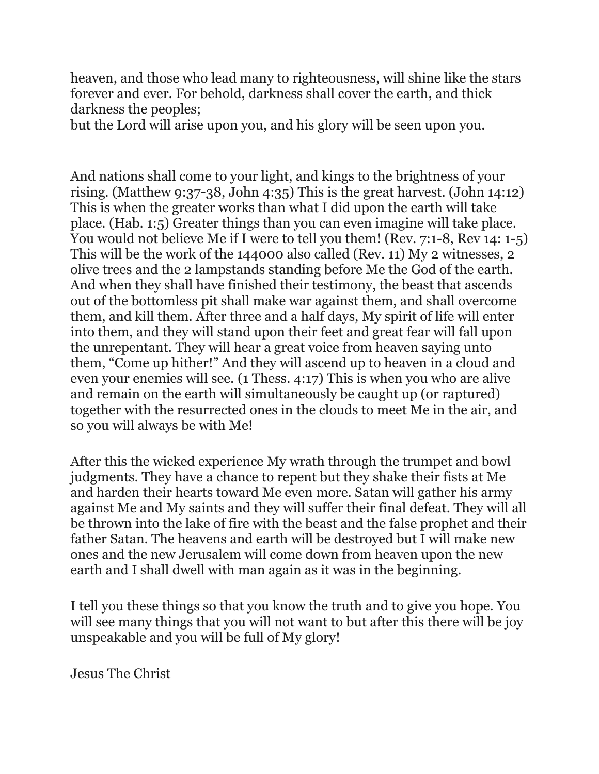heaven, and those who lead many to righteousness, will shine like the stars forever and ever. For behold, darkness shall cover the earth, and thick darkness the peoples;

but the Lord will arise upon you, and his glory will be seen upon you.

And nations shall come to your light, and kings to the brightness of your rising. (Matthew 9:37-38, John 4:35) This is the great harvest. (John 14:12) This is when the greater works than what I did upon the earth will take place. (Hab. 1:5) Greater things than you can even imagine will take place. You would not believe Me if I were to tell you them! (Rev. 7:1-8, Rev 14: 1-5) This will be the work of the 144000 also called (Rev. 11) My 2 witnesses, 2 olive trees and the 2 lampstands standing before Me the God of the earth. And when they shall have finished their testimony, the beast that ascends out of the bottomless pit shall make war against them, and shall overcome them, and kill them. After three and a half days, My spirit of life will enter into them, and they will stand upon their feet and great fear will fall upon the unrepentant. They will hear a great voice from heaven saying unto them, "Come up hither!" And they will ascend up to heaven in a cloud and even your enemies will see. (1 Thess. 4:17) This is when you who are alive and remain on the earth will simultaneously be caught up (or raptured) together with the resurrected ones in the clouds to meet Me in the air, and so you will always be with Me!

After this the wicked experience My wrath through the trumpet and bowl judgments. They have a chance to repent but they shake their fists at Me and harden their hearts toward Me even more. Satan will gather his army against Me and My saints and they will suffer their final defeat. They will all be thrown into the lake of fire with the beast and the false prophet and their father Satan. The heavens and earth will be destroyed but I will make new ones and the new Jerusalem will come down from heaven upon the new earth and I shall dwell with man again as it was in the beginning.

I tell you these things so that you know the truth and to give you hope. You will see many things that you will not want to but after this there will be joy unspeakable and you will be full of My glory!

Jesus The Christ